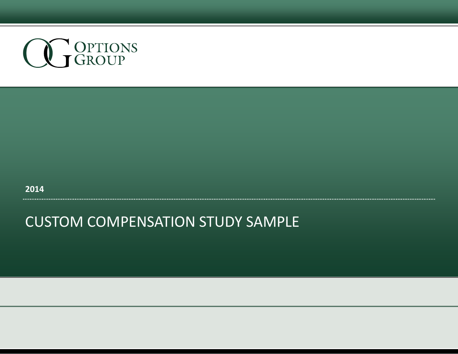

**2014**

#### CUSTOM COMPENSATION STUDY SAMPLE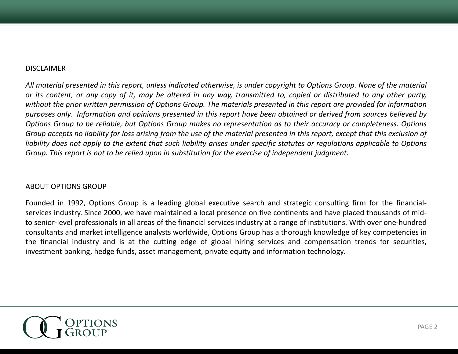#### **DISCLAIMER**

All material presented in this report, unless indicated otherwise, is under copyright to Options Group. None of the material or its content, or any copy of it, may be altered in any way, transmitted to, copied or distributed to any other party, without the prior written permission of Options Group. The materials presented in this report are provided for information purposes only. Information and opinions presented in this report have been obtained or derived from sources believed by Options Group to be reliable, but Options Group makes no representation as to their accuracy or completeness. Options Group accepts no liability for loss arising from the use of the material presented in this report, except that this exclusion of liability does not apply to the extent that such liability arises under specific statutes or regulations applicable to Options Group. This report is not to be relied upon in substitution for the exercise of independent judgment.

#### ABOUT OPTIONS GROUP

Founded in 1992, Options Group is <sup>a</sup> leading global executive search and strategic consulting firm for the financial‐ services industry. Since 2000, we have maintained a local presence on five continents and have placed thousands of midto senior-level professionals in all areas of the financial services industry at a range of institutions. With over one-hundred consultants and market intelligence analysts worldwide, Options Group has <sup>a</sup> thorough knowledge of key competencies in the financial industry and is at the cutting edge of global hiring services and compensation trends for securities, investment banking, hedge funds, asset management, private equity and information technology.

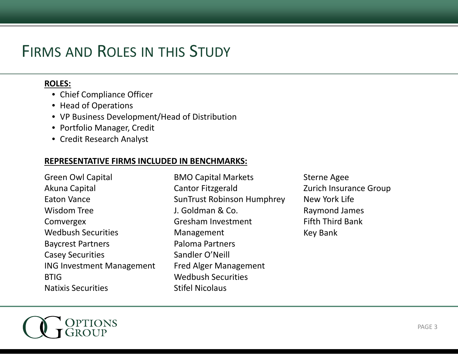## FIRMS AND ROLES IN THIS STUDY

#### **ROLES:**

- Chief Compliance Officer
- Head of Operations
- VP Business Development/Head of Distribution
- Portfolio Manager, Credit
- Credit Research Analyst

#### **REPRESENTATIVE FIRMS INCLUDED IN BENCHMARKS:**

Green Owl Capita Akuna Capital Eaton Vance Wisdom Tree Comvergex Wedbush SecuritiesBaycrest Partners Casey Securities ING Investment Management **BTIG** Natixis Securities

n Owl Capital **BMO Capital Markets** Sterne Agee Cantor Fitzgerald SunTrust Robinson Humphrey J. Goldman & Co. Gresham Investment FifthManagement Paloma PartnersSandler O'Neill Fred Alger Management Wedbush SecuritiesStifel Nicolaus

Zurich Insurance Group New York Life Raymond James **Fifth Third Bank** Key Bank

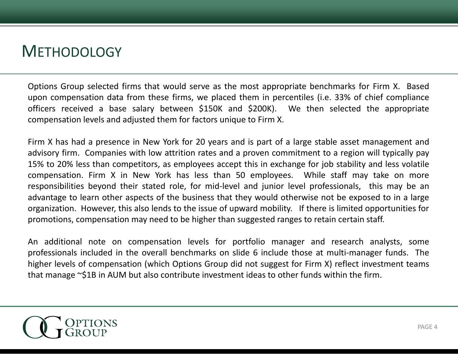#### **METHODOLOGY**

Options Group selected firms that would serve as the most appropriate benchmarks for Firm X. Based upon compensation data from these firms, we placed them in percentiles (i.e. 33% of chief compliance officers received <sup>a</sup> base salary between \$150K and \$200K). We then selected the appropriate compensation levels and adjusted them for factors unique to Firm X.

Firm X has had <sup>a</sup> presence in New York for 20 years and is part of <sup>a</sup> large stable asset management and advisory firm. Companies with low attrition rates and <sup>a</sup> proven commitment to <sup>a</sup> region will typically pay 15% to 20% less than competitors, as employees accept this in exchange for job stability and less volatile compensation. Firm X in New York has less than 50 employees. While staff may take on more responsibilities beyond their stated role, for mid‐level and junior level professionals, this may be an advantage to learn other aspects of the business that they would otherwise not be exposed to in <sup>a</sup> large organization. However, this also lends to the issue of upward mobility. If there is limited opportunities for promotions, compensation may need to be higher than suggested ranges to retain certain staff.

An additional note on compensation levels for portfolio manager and research analysts, some professionals included in the overall benchmarks on slide 6 include those at multi-manager funds. The higher levels of compensation (which Options Group did not suggest for Firm X) reflect investment teams that manage ~\$1B in AUM but also contribute investment ideas to other funds within the firm.

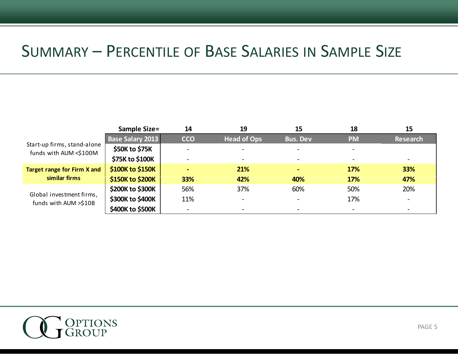#### SUMMARY – PERCENTILE OF BASE SALARIES IN SAMPLE SIZE

|                                                       | <b>Sample Size=</b>     | 14         | 19                       | 15              | 18        | 15              |
|-------------------------------------------------------|-------------------------|------------|--------------------------|-----------------|-----------|-----------------|
| Start-up firms, stand-alone<br>funds with AUM <\$100M | <b>Base Salary 2013</b> | <b>CCO</b> | <b>Head of Ops</b>       | <b>Bus. Dev</b> | <b>PM</b> | <b>Research</b> |
|                                                       | \$50K to \$75K          |            |                          |                 |           |                 |
|                                                       | \$75K to \$100K         |            |                          |                 |           |                 |
| <b>Target range for Firm X and</b><br>similar firms   | \$100K to \$150K        |            | 21%                      |                 | 17%       | 33%             |
|                                                       | \$150K to \$200K        | 33%        | 42%                      | 40%             | 17%       | 47%             |
| Global investment firms,<br>funds with AUM >\$10B     | \$200K to \$300K        | 56%        | 37%                      | 60%             | 50%       | 20%             |
|                                                       | \$300K to \$400K        | 11%        | $\overline{\phantom{0}}$ |                 | 17%       |                 |
|                                                       | \$400K to \$500K        |            |                          |                 |           |                 |

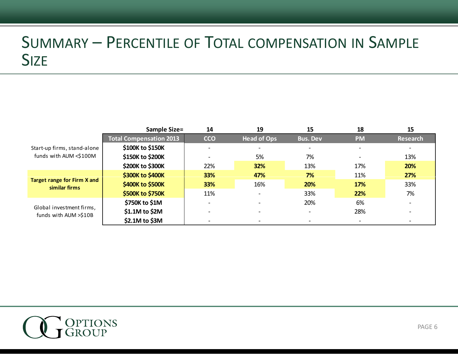## SUMMARY – PERCENTILE OF TOTAL COMPENSATION IN SAMPLE SIZE

|                                                     | <b>Sample Size=</b>            | 14                       | 19                           | 15                       | 18        | 15       |
|-----------------------------------------------------|--------------------------------|--------------------------|------------------------------|--------------------------|-----------|----------|
|                                                     | <b>Total Compensation 2013</b> | <b>CCO</b>               | <b>Head of Ops</b>           | <b>Bus. Dev</b>          | <b>PM</b> | Research |
| Start-up firms, stand-alone                         | \$100K to \$150K               | $\overline{\phantom{0}}$ | $\overline{\phantom{a}}$     | $\overline{\phantom{0}}$ |           |          |
| funds with AUM <\$100M                              | \$150K to \$200K               |                          | 5%                           | 7%                       |           | 13%      |
|                                                     | \$200K to \$300K               | 22%                      | 32%                          | 13%                      | 17%       | 20%      |
| <b>Target range for Firm X and</b><br>similar firms | \$300K to \$400K               | 33%                      | 47%                          | 7%                       | 11%       | 27%      |
|                                                     | \$400K to \$500K               | 33%                      | 16%                          | 20%                      | 17%       | 33%      |
|                                                     | \$500K to \$750K               | 11%                      | $\overline{\phantom{a}}$     | 33%                      | 22%       | 7%       |
| Global investment firms,<br>funds with AUM >\$10B   | \$750K to \$1M                 | -                        |                              | 20%                      | 6%        |          |
|                                                     | \$1.1M to \$2M                 | -                        | $\qquad \qquad \blacksquare$ | $\overline{\phantom{0}}$ | 28%       |          |
|                                                     | \$2.1M to \$3M                 |                          |                              |                          |           |          |

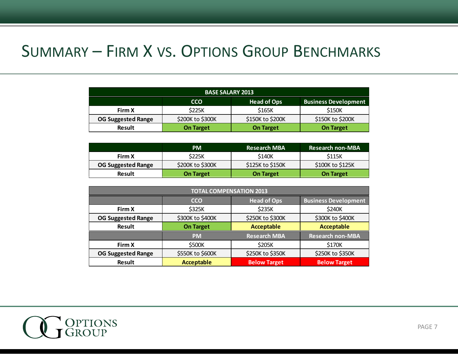#### SUMMARY – FIRM X VS. OPTIONS GROUP BENCHMARKS

| <b>BASE SALARY 2013</b>   |                  |                    |                             |  |
|---------------------------|------------------|--------------------|-----------------------------|--|
|                           | <b>CCO</b>       | <b>Head of Ops</b> | <b>Business Development</b> |  |
| Firm X                    | <b>S225K</b>     | \$165K             | \$150K                      |  |
| <b>OG Suggested Range</b> | \$200K to \$300K | \$150K to \$200K   | \$150K to \$200K            |  |
| <b>Result</b>             | <b>On Target</b> | <b>On Target</b>   | <b>On Target</b>            |  |

|                    | <b>PM</b>        | Research MBA !   | <b>Research non-MBA</b> |
|--------------------|------------------|------------------|-------------------------|
| Firm X             | \$225K           | S140K            | S115K                   |
| OG Suggested Range | \$200K to \$300K | \$125K to \$150K | \$100K to \$125K        |
| <b>Result</b>      | <b>On Target</b> | <b>On Target</b> | On Target               |

| <b>TOTAL COMPENSATION 2013</b> |                                                                 |                     |                         |  |  |
|--------------------------------|-----------------------------------------------------------------|---------------------|-------------------------|--|--|
|                                | <b>Head of Ops</b><br><b>Business Development</b><br><b>CCO</b> |                     |                         |  |  |
| Firm X                         | \$325K                                                          | \$235K              | \$240K                  |  |  |
| <b>OG Suggested Range</b>      | \$300K to \$400K                                                | \$250K to \$300K    | \$300K to \$400K        |  |  |
| <b>Result</b>                  | <b>Acceptable</b><br><b>On Target</b>                           |                     | <b>Acceptable</b>       |  |  |
|                                | <b>PM</b>                                                       | <b>Research MBA</b> | <b>Research non-MBA</b> |  |  |
| Firm X                         | \$500K                                                          | \$205K              | \$170K                  |  |  |
| <b>OG Suggested Range</b>      | \$550K to \$600K                                                | \$250K to \$350K    | \$250K to \$350K        |  |  |
| <b>Result</b>                  | <b>Acceptable</b>                                               | <b>Below Target</b> | <b>Below Target</b>     |  |  |

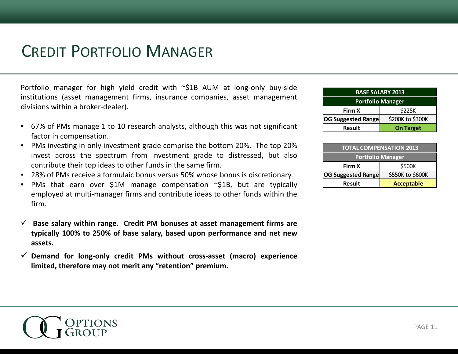#### CREDIT PORTFOLIO MANAGER

Portfolio manager for high yield credit with ~\$1B AUM at long-only buy-side institutions (asset management firms, insurance companies, asset management divisions within <sup>a</sup> broker‐dealer).

- 67% of PMs manage 1 to 10 research analysts, although this was not significant factor in compensation.
- • PMs investing in only investment grade comprise the bottom 20%. The top 20% invest across the spectrum from investment grade to distressed, but also contribute their top ideas to other funds in the same firm.
- •28% of PMs receive <sup>a</sup> formulaic bonus versus 50% whose bonus is discretionary.
- •PMs that earn over \$1M manage compensation  $\sim$ \$1B, but are typically employed at multi-manager firms and contribute ideas to other funds within the firm.
- $\checkmark$  $\checkmark$  Base salary within range. Credit PM bonuses at asset management firms are typically 100% to 250% of base salary, based upon performance and net new **assets.**
- 9 **Demand for long‐only credit PMs without cross‐asset (macro) experience limited limited, therefore may not merit any "retention retention" premium premium.**

| <b>BASE SALARY 2013</b>                       |                  |  |
|-----------------------------------------------|------------------|--|
| <b>Portfolio Manager</b>                      |                  |  |
| \$225K<br>Firm X                              |                  |  |
| \$200K to \$300K<br><b>OG Suggested Range</b> |                  |  |
| <b>Result</b>                                 | <b>On Target</b> |  |

| <b>TOTAL COMPENSATION 2013</b>                |                   |  |
|-----------------------------------------------|-------------------|--|
| <b>Portfolio Manager</b>                      |                   |  |
| \$500K<br>Firm X                              |                   |  |
| \$550K to \$600K<br><b>OG Suggested Range</b> |                   |  |
| <b>Result</b>                                 | <b>Acceptable</b> |  |

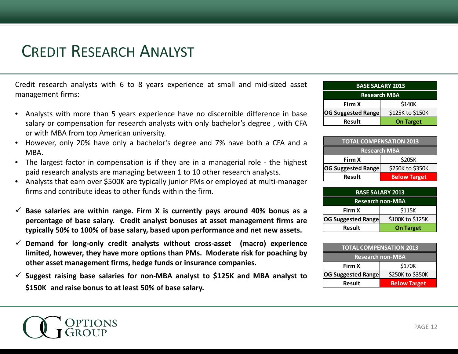## CREDIT RESEARCH ANALYST

Credit research analysts with 6 to 8 years experience at small and mid-sized asset management firms:

- $\bullet$  Analysts with more than 5 years experience have no discernible difference in base salary or compensation for research analysts with only bachelor's degree , with CFA or with MBA from top American university.
- • However, only 20% have only <sup>a</sup> bachelor's degree and 7% have both <sup>a</sup> CFA and <sup>a</sup> MBA.
- $\bullet$  The largest factor in compensation is if they are in <sup>a</sup> managerial role ‐ the highest paid research analysts are managing between 1 to 10 other research analysts.
- Analysts that earn over \$500K are typically junior PMs or employed at multi‐manager firms and contribute ideas to other funds within the firm.
- $\checkmark$  Base salaries are within range. Firm X is currently pays around 40% bonus as a **percentage of base salary Credit analyst bonuses at asset management firms are salary.** typically 50% to 100% of base salary, based upon performance and net new assets.
- 9 **Demand for long‐only credit analysts without cross‐asset (macro) experience** limited, however, they have more options than PMs. Moderate risk for poaching by **other asset management firms, hedge funds or insurance companies.**
- $\checkmark$  Suggest raising base salaries for non-MBA analyst to \$125K and MBA analyst to **\$150K and raise bonus to at least 50% of base salary.**

| <b>BASE SALARY 2013</b>                       |                  |  |
|-----------------------------------------------|------------------|--|
| <b>Research MBA</b>                           |                  |  |
| \$140K<br>Firm X                              |                  |  |
| \$125K to \$150K<br><b>OG Suggested Range</b> |                  |  |
| <b>Result</b>                                 | <b>On Target</b> |  |

| <b>TOTAL COMPENSATION 2013</b>                |  |  |
|-----------------------------------------------|--|--|
| <b>Research MBA</b>                           |  |  |
| \$205K<br>Firm X                              |  |  |
| \$250K to \$350K<br><b>OG Suggested Range</b> |  |  |
| <b>Result</b><br><b>Below Target</b>          |  |  |

| <b>BASE SALARY 2013</b>   |                  |  |
|---------------------------|------------------|--|
| <b>Research non-MBA</b>   |                  |  |
| Firm X                    | \$115K           |  |
| <b>OG Suggested Range</b> | \$100K to \$125K |  |
| Result                    | <b>On Target</b> |  |

| <b>TOTAL COMPENSATION 2013</b>                |                     |  |
|-----------------------------------------------|---------------------|--|
| <b>Research non-MBA</b>                       |                     |  |
| \$170K<br>Firm X                              |                     |  |
| \$250K to \$350K<br><b>OG Suggested Range</b> |                     |  |
| <b>Result</b>                                 | <b>Below Target</b> |  |

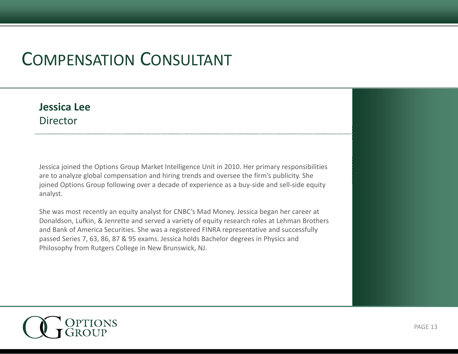# COMPENSATION CONSULTANT

#### **Jessica Lee**Director

Jessica joined the Options Group Market Intelligence Unit in 2010. Her primary responsibilities are to analyze global compensation and hiring trends and oversee the firm's publicity. She joined Options Group following over a decade of experience as a buy-side and sell-side equity analyst.

She was most recently an equity analyst for CNBC's Mad Money. Jessica began her career at Donaldson, Lufkin, & Jenrette and served a variety of equity research roles at Lehman Brothers and Bank of America Securities. She was <sup>a</sup> registered FINRA representative and successfully passed Series 7, 63, 86, 87 & 95 exams. Jessica holds Bachelor degrees in Physics and Philosophy from Rutgers College in New Brunswick, NJ.